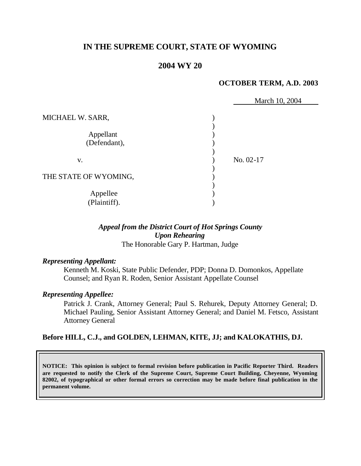# **IN THE SUPREME COURT, STATE OF WYOMING**

# **2004 WY 20**

#### **OCTOBER TERM, A.D. 2003**

|                           | March 10, 2004 |
|---------------------------|----------------|
| MICHAEL W. SARR,          |                |
| Appellant<br>(Defendant), |                |
| V.                        | No. 02-17      |
| THE STATE OF WYOMING,     |                |
| Appellee<br>(Plaintiff).  |                |

### *Appeal from the District Court of Hot Springs County Upon Rehearing* The Honorable Gary P. Hartman, Judge

#### *Representing Appellant:*

Kenneth M. Koski, State Public Defender, PDP; Donna D. Domonkos, Appellate Counsel; and Ryan R. Roden, Senior Assistant Appellate Counsel

#### *Representing Appellee:*

Patrick J. Crank, Attorney General; Paul S. Rehurek, Deputy Attorney General; D. Michael Pauling, Senior Assistant Attorney General; and Daniel M. Fetsco, Assistant Attorney General

## **Before HILL, C.J., and GOLDEN, LEHMAN, KITE, JJ; and KALOKATHIS, DJ.**

**NOTICE: This opinion is subject to formal revision before publication in Pacific Reporter Third. Readers are requested to notify the Clerk of the Supreme Court, Supreme Court Building, Cheyenne, Wyoming 82002, of typographical or other formal errors so correction may be made before final publication in the permanent volume.**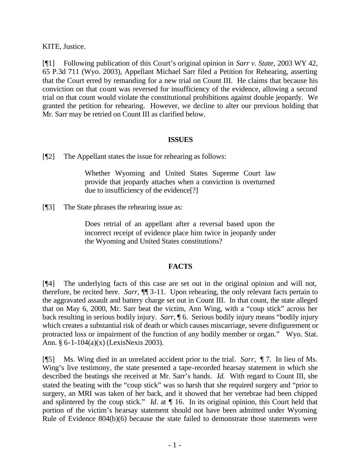KITE, Justice.

[¶1] Following publication of this Court's original opinion in *Sarr v. State,* 2003 WY 42, 65 P.3d 711 (Wyo. 2003), Appellant Michael Sarr filed a Petition for Rehearing, asserting that the Court erred by remanding for a new trial on Count III. He claims that because his conviction on that count was reversed for insufficiency of the evidence, allowing a second trial on that count would violate the constitutional prohibitions against double jeopardy. We granted the petition for rehearing. However, we decline to alter our previous holding that Mr. Sarr may be retried on Count III as clarified below.

## **ISSUES**

[¶2] The Appellant states the issue for rehearing as follows:

Whether Wyoming and United States Supreme Court law provide that jeopardy attaches when a conviction is overturned due to insufficiency of the evidence[?]

[¶3] The State phrases the rehearing issue as:

Does retrial of an appellant after a reversal based upon the incorrect receipt of evidence place him twice in jeopardy under the Wyoming and United States constitutions?

# **FACTS**

[¶4] The underlying facts of this case are set out in the original opinion and will not, therefore, be recited here. *Sarr,* ¶¶ 3-11. Upon rehearing, the only relevant facts pertain to the aggravated assault and battery charge set out in Count III. In that count, the state alleged that on May 6, 2000, Mr. Sarr beat the victim, Ann Wing, with a "coup stick" across her back resulting in serious bodily injury. *Sarr,* ¶ 6. Serious bodily injury means "bodily injury which creates a substantial risk of death or which causes miscarriage, severe disfigurement or protracted loss or impairment of the function of any bodily member or organ." Wyo. Stat. Ann. § 6-1-104(a)(x) (LexisNexis 2003).

[¶5] Ms. Wing died in an unrelated accident prior to the trial. *Sarr,* ¶ 7. In lieu of Ms. Wing's live testimony, the state presented a tape-recorded hearsay statement in which she described the beatings she received at Mr. Sarr's hands. *Id.* With regard to Count III, she stated the beating with the "coup stick" was so harsh that she required surgery and "prior to surgery, an MRI was taken of her back, and it showed that her vertebrae had been chipped and splintered by the coup stick." *Id*. at ¶ 16.In its original opinion, this Court held that portion of the victim's hearsay statement should not have been admitted under Wyoming Rule of Evidence 804(b)(6) because the state failed to demonstrate those statements were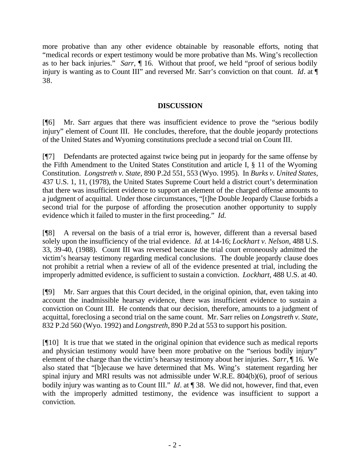more probative than any other evidence obtainable by reasonable efforts, noting that "medical records or expert testimony would be more probative than Ms. Wing's recollection as to her back injuries." *Sarr,* ¶ 16. Without that proof, we held "proof of serious bodily injury is wanting as to Count III" and reversed Mr. Sarr's conviction on that count. *Id*. at  $\P$ 38.

## **DISCUSSION**

[¶6] Mr. Sarr argues that there was insufficient evidence to prove the "serious bodily injury" element of Count III. He concludes, therefore, that the double jeopardy protections of the United States and Wyoming constitutions preclude a second trial on Count III.

[¶7] Defendants are protected against twice being put in jeopardy for the same offense by the Fifth Amendment to the United States Constitution and article I, § 11 of the Wyoming Constitution. *Longstreth v. State,* 890 P.2d 551, 553 (Wyo. 1995). In *Burks v. United States,*  437 U.S. 1, 11, (1978), the United States Supreme Court held a district court's determination that there was insufficient evidence to support an element of the charged offense amounts to a judgment of acquittal. Under those circumstances, "[t]he Double Jeopardy Clause forbids a second trial for the purpose of affording the prosecution another opportunity to supply evidence which it failed to muster in the first proceeding." *Id.*

[¶8] A reversal on the basis of a trial error is, however, different than a reversal based solely upon the insufficiency of the trial evidence. *Id.* at 14-16; *Lockhart v. Nelson,* 488 U.S. 33, 39-40, (1988). Count III was reversed because the trial court erroneously admitted the victim's hearsay testimony regarding medical conclusions. The double jeopardy clause does not prohibit a retrial when a review of all of the evidence presented at trial, including the improperly admitted evidence, is sufficient to sustain a conviction. *Lockhart,* 488 U.S. at 40.

[¶9] Mr. Sarr argues that this Court decided, in the original opinion, that, even taking into account the inadmissible hearsay evidence, there was insufficient evidence to sustain a conviction on Count III. He contends that our decision, therefore, amounts to a judgment of acquittal, foreclosing a second trial on the same count. Mr. Sarr relies on *Longstreth v. State,*  832 P.2d 560 (Wyo. 1992) and *Longstreth,* 890 P.2d at 553 to support his position.

[¶10] It is true that we stated in the original opinion that evidence such as medical reports and physician testimony would have been more probative on the "serious bodily injury" element of the charge than the victim's hearsay testimony about her injuries. *Sarr,* ¶ 16. We also stated that "[b]ecause we have determined that Ms. Wing's statement regarding her spinal injury and MRI results was not admissible under W.R.E. 804(b)(6), proof of serious bodily injury was wanting as to Count III." *Id*. at ¶ 38. We did not, however, find that, even with the improperly admitted testimony, the evidence was insufficient to support a conviction.